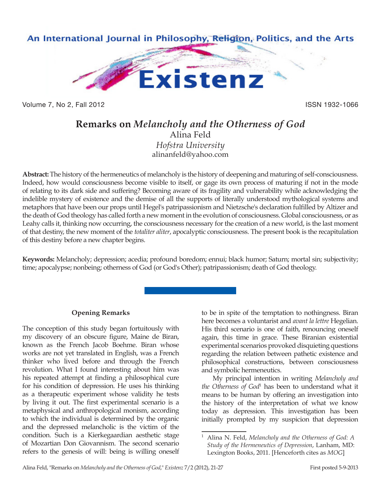

Volume 7, No 2, Fall 2012 **ISSN 1932-1066** 

# **Remarks on** *Melancholy and the Otherness of God* Alina Feld *Hofstra University* alinanfeld@yahoo.com

**Abstract:** The history of the hermeneutics of melancholy is the history of deepening and maturing of self-consciousness. Indeed, how would consciousness become visible to itself, or gage its own process of maturing if not in the mode of relating to its dark side and suffering? Becoming aware of its fragility and vulnerability while acknowledging the indelible mystery of existence and the demise of all the supports of literally understood mythological systems and metaphors that have been our props until Hegel's patripassionism and Nietzsche's declaration fulfilled by Altizer and the death of God theology has called forth a new moment in the evolution of consciousness. Global consciousness, or as Leahy calls it, thinking now occurring, the consciousness necessary for the creation of a new world, is the last moment of that destiny, the new moment of the *totaliter aliter*, apocalyptic consciousness. The present book is the recapitulation of this destiny before a new chapter begins.

**Keywords:** Melancholy; depression; acedia; profound boredom; ennui; black humor; Saturn; mortal sin; subjectivity; time; apocalypse; nonbeing; otherness of God (or God's Other); patripassionism; death of God theology.

## **Opening Remarks**

The conception of this study began fortuitously with my discovery of an obscure figure, Maine de Biran, known as the French Jacob Boehme. Biran whose works are not yet translated in English, was a French thinker who lived before and through the French revolution. What I found interesting about him was his repeated attempt at finding a philosophical cure for his condition of depression. He uses his thinking as a therapeutic experiment whose validity he tests by living it out. The first experimental scenario is a metaphysical and anthropological monism, according to which the individual is determined by the organic and the depressed melancholic is the victim of the condition. Such is a Kierkegaardian aesthetic stage of Mozartian Don Giovannism. The second scenario refers to the genesis of will: being is willing oneself

to be in spite of the temptation to nothingness. Biran here becomes a voluntarist and *avant la lettre* Hegelian. His third scenario is one of faith, renouncing oneself again, this time in grace. These Biranian existential experimental scenarios provoked disquieting questions regarding the relation between pathetic existence and philosophical constructions, between consciousness and symbolic hermeneutics.

My principal intention in writing *Melancholy and the Otherness of God*<sup>1</sup> has been to understand what it means to be human by offering an investigation into the history of the interpretation of what we know today as depression. This investigation has been initially prompted by my suspicion that depression

<sup>1</sup> Alina N. Feld, *Melancholy and the Otherness of God: A Study of the Hermeneutics of Depression*, Lanham, MD: Lexington Books, 2011. [Henceforth cites as *MOG*]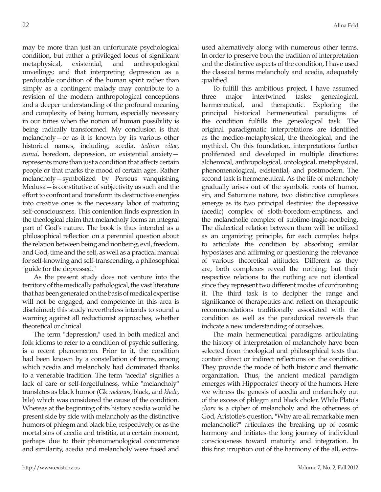may be more than just an unfortunate psychological condition, but rather a privileged locus of significant metaphysical, existential, and anthropological unveilings; and that interpreting depression as a perdurable condition of the human spirit rather than simply as a contingent malady may contribute to a revision of the modern anthropological conceptions and a deeper understanding of the profound meaning and complexity of being human, especially necessary in our times when the notion of human possibility is being radically transformed. My conclusion is that melancholy—or as it is known by its various other historical names, including, acedia, *tedium vitae*, *ennui*, boredom, depression, or existential anxiety represents more than just a condition that affects certain people or that marks the mood of certain ages. Rather melancholy—symbolized by Perseus vanquishing Medusa—is constitutive of subjectivity as such and the effort to confront and transform its destructive energies into creative ones is the necessary labor of maturing self-consciousness. This contention finds expression in the theological claim that melancholy forms an integral part of God's nature. The book is thus intended as a philosophical reflection on a perennial question about the relation between being and nonbeing, evil, freedom, and God, time and the self, as well as a practical manual for self-knowing and self-transcending, a philosophical "guide for the depressed."

As the present study does not venture into the territory of the medically pathological, the vast literature that has been generated on the basis of medical expertise will not be engaged, and competence in this area is disclaimed; this study nevertheless intends to sound a warning against all reductionist approaches, whether theoretical or clinical.

The term "depression," used in both medical and folk idioms to refer to a condition of psychic suffering, is a recent phenomenon. Prior to it, the condition had been known by a constellation of terms, among which acedia and melancholy had dominated thanks to a venerable tradition. The term "acedia" signifies a lack of care or self-forgetfulness, while "melancholy" translates as black humor (Gk *melanos*, black, and *khole*, bile) which was considered the cause of the condition. Whereas at the beginning of its history acedia would be present side by side with melancholy as the distinctive humors of phlegm and black bile, respectively, or as the mortal sins of acedia and tristitia, at a certain moment, perhaps due to their phenomenological concurrence and similarity, acedia and melancholy were fused and used alternatively along with numerous other terms. In order to preserve both the tradition of interpretation and the distinctive aspects of the condition, I have used the classical terms melancholy and acedia, adequately qualified.

To fulfill this ambitious project, I have assumed three major intertwined tasks: genealogical, hermeneutical, and therapeutic. Exploring the principal historical hermeneutical paradigms of the condition fulfills the genealogical task. The original paradigmatic interpretations are identified as the medico-metaphysical, the theological, and the mythical. On this foundation, interpretations further proliferated and developed in multiple directions: alchemical, anthropological, ontological, metaphysical, phenomenological, existential, and postmodern. The second task is hermeneutical. As the life of melancholy gradually arises out of the symbolic roots of humor, sin, and Saturnine nature, two distinctive complexes emerge as its two principal destinies: the depressive (acedic) complex of sloth-boredom-emptiness, and the melancholic complex of sublime-tragic-nonbeing. The dialectical relation between them will be utilized as an organizing principle, for each complex helps to articulate the condition by absorbing similar hypostases and affirming or questioning the relevance of various theoretical attitudes. Different as they are, both complexes reveal the nothing; but their respective relations to the nothing are not identical since they represent two different modes of confronting it. The third task is to decipher the range and significance of therapeutics and reflect on therapeutic recommendations traditionally associated with the condition as well as the paradoxical reversals that indicate a new understanding of ourselves.

The main hermeneutical paradigms articulating the history of interpretation of melancholy have been selected from theological and philosophical texts that contain direct or indirect reflections on the condition. They provide the mode of both historic and thematic organization. Thus, the ancient medical paradigm emerges with Hippocrates' theory of the humors. Here we witness the genesis of acedia and melancholy out of the excess of phlegm and black choler. While Plato's *chora* is a cipher of melancholy and the otherness of God, Aristotle's question, "Why are all remarkable men melancholic?" articulates the breaking up of cosmic harmony and initiates the long journey of individual consciousness toward maturity and integration. In this first irruption out of the harmony of the all, extra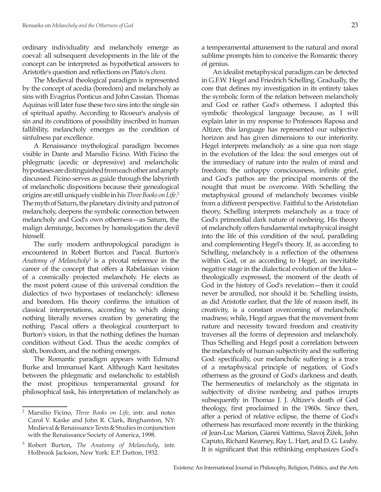ordinary individuality and melancholy emerge as coeval: all subsequent developments in the life of the concept can be interpreted as hypothetical answers to Aristotle's question and reflections on Plato's *chora*.

The Medieval theological paradigm is represented by the concept of acedia (boredom) and melancholy as sins with Evagrius Ponticus and John Cassian. Thomas Aquinas will later fuse these two sins into the single sin of spiritual apathy. According to Ricoeur's analysis of sin and its conditions of possibility inscribed in human fallibility, melancholy emerges as the condition of sinfulness par excellence.

A Renaissance mythological paradigm becomes visible in Dante and Marsilio Ficino. With Ficino the phlegmatic (acedic or depressive) and melancholic hypostases are distinguished from each other and amply discussed. Ficino serves as guide through the labyrinth of melancholic dispositions because their genealogical origins are still uniquely visible in his *Three Books on Life*. 2 The myth of Saturn, the planetary divinity and patron of melancholy, deepens the symbolic connection between melancholy and God's own otherness—as Saturn, the malign demiurge, becomes by homologation the devil himself.

The early modern anthropological paradigm is encountered in Robert Burton and Pascal. Burton's *Anatomy of Melancholy*<sup>3</sup> is a pivotal reference in the career of the concept that offers a Rabelaisian vision of a cosmically projected melancholy. He elects as the most potent cause of this universal condition the dialectics of two hypostases of melancholy: idleness and boredom. His theory confirms the intuition of classical interpretations, according to which doing nothing literally reverses creation by generating the nothing. Pascal offers a theological counterpart to Burton's vision, in that the nothing defines the human condition without God. Thus the acedic complex of sloth, boredom, and the nothing emerges.

The Romantic paradigm appears with Edmund Burke and Immanuel Kant. Although Kant hesitates between the phlegmatic and melancholic to establish the most propitious temperamental ground for philosophical task, his interpretation of melancholy as a temperamental attunement to the natural and moral sublime prompts him to conceive the Romantic theory of genius.

An idealist metaphysical paradigm can be detected in G.F.W. Hegel and Friedrich Schelling. Gradually, the core that defines my investigation in its entirety takes the symbolic form of the relation between melancholy and God or rather God's otherness. I adopted this symbolic theological language because, as I will explain later in my response to Professors Raposa and Altizer, this language has represented our subjective horizon and has given dimensions to our interiority. Hegel interprets melancholy as a sine qua non stage in the evolution of the Idea: the soul emerges out of the immediacy of nature into the realm of mind and freedom; the unhappy consciousness, infinite grief, and God's pathos are the principal moments of the nought that must be overcome. With Schelling the metaphysical ground of melancholy becomes visible from a different perspective. Faithful to the Aristotelian theory, Schelling interprets melancholy as a trace of God's primordial dark nature of nonbeing. His theory of melancholy offers fundamental metaphysical insight into the life of this condition of the soul, paralleling and complementing Hegel's theory. If, as according to Schelling, melancholy is a reflection of the otherness within God, or as according to Hegel, an inevitable negative stage in the dialectical evolution of the Idea theologically expressed, the moment of the death of God in the history of God's revelation—then it could never be annulled, nor should it be. Schelling insists, as did Aristotle earlier, that the life of reason itself, its creativity, is a constant overcoming of melancholic madness; while, Hegel argues that the movement from nature and necessity toward freedom and creativity traverses all the forms of depression and melancholy. Thus Schelling and Hegel posit a correlation between the melancholy of human subjectivity and the suffering God: specifically, our melancholic suffering is a trace of a metaphysical principle of negation, of God's otherness as the ground of God's darkness and death. The hermeneutics of melancholy as the stigmata in subjectivity of divine nonbeing and pathos irrupts subsequently in Thomas J. J. Altizer's death of God theology, first proclaimed in the 1960s. Since then, after a period of relative eclipse, the theme of God's otherness has resurfaced more recently in the thinking of Jean-Luc Marion, Gianni Vattimo, Slavoj Žižek, John Caputo, Richard Kearney, Ray L. Hart, and D. G. Leahy. It is significant that this rethinking emphasizes God's

<sup>2</sup> Marsilio Ficino, *Three Books on Life*, intr. and notes Carol V. Kaske and John R. Clark, Binghamton, NY: Medieval & Renaissance Texts & Studies in conjunction with the Renaissance Society of America, 1998.

<sup>3</sup> Robert Burton, *The Anatomy of Melancholy*, intr. Holbrook Jackson, New York: E.P. Dutton, 1932.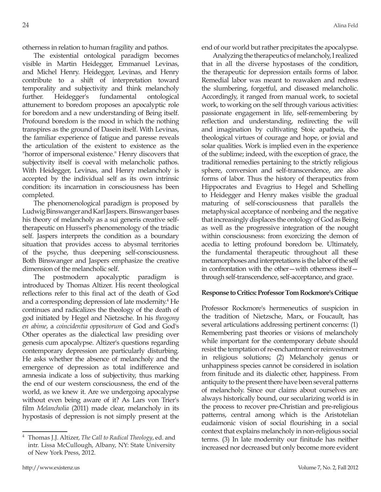otherness in relation to human fragility and pathos.

The existential ontological paradigm becomes visible in Martin Heidegger, Emmanuel Levinas, and Michel Henry. Heidegger, Levinas, and Henry contribute to a shift of interpretation toward temporality and subjectivity and think melancholy further. Heidegger's fundamental ontological attunement to boredom proposes an apocalyptic role for boredom and a new understanding of Being itself. Profound boredom is the mood in which the nothing transpires as the ground of Dasein itself. With Levinas, the familiar experience of fatigue and paresse reveals the articulation of the existent to existence as the "horror of impersonal existence." Henry discovers that subjectivity itself is coeval with melancholic pathos. With Heidegger, Levinas, and Henry melancholy is accepted by the individual self as its own intrinsic condition: its incarnation in consciousness has been completed.

The phenomenological paradigm is proposed by Ludwig Binswanger and Karl Jaspers. Binswanger bases his theory of melancholy as a sui generis creative selftherapeutic on Husserl's phenomenology of the triadic self. Jaspers interprets the condition as a boundary situation that provides access to abysmal territories of the psyche, thus deepening self-consciousness. Both Binswanger and Jaspers emphasize the creative dimension of the melancholic self.

The postmodern apocalyptic paradigm is introduced by Thomas Altizer. His recent theological reflections refer to this final act of the death of God and a corresponding depression of late modernity.<sup>4</sup> He continues and radicalizes the theology of the death of god initiated by Hegel and Nietzsche. In his *theogony en abime*, a *coincidentia oppositorum* of God and God's Other operates as the dialectical law presiding over genesis cum apocalypse. Altizer's questions regarding contemporary depression are particularly disturbing. He asks whether the absence of melancholy and the emergence of depression as total indifference and amnesia indicate a loss of subjectivity, thus marking the end of our western consciousness, the end of the world, as we knew it. Are we undergoing apocalypse without even being aware of it? As Lars von Trier's film *Melancholia* (2011) made clear, melancholy in its hypostasis of depression is not simply present at the

Analyzing the therapeutics of melancholy, I realized that in all the diverse hypostases of the condition, the therapeutic for depression entails forms of labor. Remedial labor was meant to reawaken and redress the slumbering, forgetful, and diseased melancholic. Accordingly, it ranged from manual work, to societal work, to working on the self through various activities: passionate engagement in life, self-remembering by reflection and understanding, redirecting the will and imagination by cultivating Stoic apatheia, the theological virtues of courage and hope, or jovial and solar qualities. Work is implied even in the experience of the sublime; indeed, with the exception of grace, the traditional remedies pertaining to the strictly religious sphere, conversion and self-transcendence, are also forms of labor. Thus the history of therapeutics from Hippocrates and Evagrius to Hegel and Schelling to Heidegger and Henry makes visible the gradual maturing of self-consciousness that parallels the metaphysical acceptance of nonbeing and the negative that increasingly displaces the ontology of God as Being as well as the progressive integration of the nought within consciousness: from exorcizing the demon of acedia to letting profound boredom be. Ultimately, the fundamental therapeutic throughout all these metamorphoses and interpretations is the labor of the self in confrontation with the other—with otherness itself through self-transcendence, self-acceptance, and grace.

## **Response to Critics: Professor Tom Rockmore's Critique**

Professor Rockmore's hermeneutics of suspicion in the tradition of Nietzsche, Marx, or Foucault, has several articulations addressing pertinent concerns: (1) Remembering past theories or visions of melancholy while important for the contemporary debate should resist the temptation of re-enchantment or reinvestment in religious solutions; (2) Melancholy genus or unhappiness species cannot be considered in isolation from finitude and its dialectic other, happiness. From antiquity to the present there have been several patterns of melancholy. Since our claims about ourselves are always historically bound, our secularizing world is in the process to recover pre-Christian and pre-religious patterns, central among which is the Aristotelian eudaimonic vision of social flourishing in a social context that explains melancholy in non-religious social terms. (3) In late modernity our finitude has neither increased nor decreased but only become more evident

<sup>4</sup> Thomas J.J. Altizer, *The Call to Radical Theology*, ed. and intr. Lissa McCullough, Albany, NY: State University of New York Press, 2012.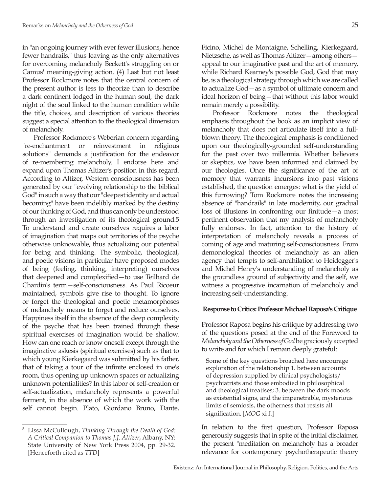in "an ongoing journey with ever fewer illusions, hence fewer handrails," thus leaving as the only alternatives for overcoming melancholy Beckett's struggling on or Camus' meaning-giving action. (4) Last but not least Professor Rockmore notes that the central concern of the present author is less to theorize than to describe a dark continent lodged in the human soul, the dark night of the soul linked to the human condition while the title, choices, and description of various theories suggest a special attention to the theological dimension of melancholy.

Professor Rockmore's Weberian concern regarding "re-enchantment or reinvestment in religious solutions" demands a justification for the endeavor of re-membering melancholy. I endorse here and expand upon Thomas Altizer's position in this regard. According to Altizer, Western consciousness has been generated by our "evolving relationship to the biblical God" in such a way that our "deepest identity and actual becoming" have been indelibly marked by the destiny of our thinking of God, and thus can only be understood through an investigation of its theological ground.5 To understand and create ourselves requires a labor of imagination that maps out territories of the psyche otherwise unknowable, thus actualizing our potential for being and thinking. The symbolic, theological, and poetic visions in particular have proposed modes of being (feeling, thinking, interpreting) ourselves that deepened and complexified—to use Teilhard de Chardin's term—self-consciousness. As Paul Ricoeur maintained, symbols give rise to thought. To ignore or forget the theological and poetic metamorphoses of melancholy means to forget and reduce ourselves. Happiness itself in the absence of the deep complexity of the psyche that has been trained through these spiritual exercises of imagination would be shallow. How can one reach or know oneself except through the imaginative askesis (spiritual exercises) such as that to which young Kierkegaard was submitted by his father, that of taking a tour of the infinite enclosed in one's room, thus opening up unknown spaces or actualizing unknown potentialities? In this labor of self-creation or self-actualization, melancholy represents a powerful ferment, in the absence of which the work with the self cannot begin. Plato, Giordano Bruno, Dante,

Ficino, Michel de Montaigne, Schelling, Kierkegaard, Nietzsche, as well as Thomas Altizer—among others appeal to our imaginative past and the art of memory, while Richard Kearney's possible God, God that may be, is a theological strategy through which we are called to actualize God—as a symbol of ultimate concern and ideal horizon of being—that without this labor would remain merely a possibility.

Professor Rockmore notes the theological emphasis throughout the book as an implicit view of melancholy that does not articulate itself into a fullblown theory. The theological emphasis is conditioned upon our theologically-grounded self-understanding for the past over two millennia. Whether believers or skeptics, we have been informed and claimed by our theologies. Once the significance of the art of memory that warrants incursions into past visions established, the question emerges: what is the yield of this furrowing? Tom Rockmore notes the increasing absence of "handrails" in late modernity, our gradual loss of illusions in confronting our finitude—a most pertinent observation that my analysis of melancholy fully endorses. In fact, attention to the history of interpretation of melancholy reveals a process of coming of age and maturing self-consciousness. From demonological theories of melancholy as an alien agency that tempts to self-annihilation to Heidegger's and Michel Henry's understanding of melancholy as the groundless ground of subjectivity and the self, we witness a progressive incarnation of melancholy and increasing self-understanding.

#### **Response to Critics: Professor Michael Raposa's Critique**

Professor Raposa begins his critique by addressing two of the questions posed at the end of the Foreword to *Melancholy and the Otherness of God* he graciously accepted to write and for which I remain deeply grateful:

Some of the key questions broached here encourage exploration of the relationship 1. between accounts of depression supplied by clinical psychologists/ psychiatrists and those embodied in philosophical and theological treatises; 3. between the dark moods as existential signs, and the impenetrable, mysterious limits of semiosis, the otherness that resists all signification. [*MOG* xi f.]

In relation to the first question, Professor Raposa generously suggests that in spite of the initial disclaimer, the present "meditation on melancholy has a broader relevance for contemporary psychotherapeutic theory

<sup>5</sup> Lissa McCullough, *Thinking Through the Death of God: A Critical Companion to Thomas J.J. Altizer*, Albany, NY: State University of New York Press 2004, pp. 29-32. [Henceforth cited as *TTD*]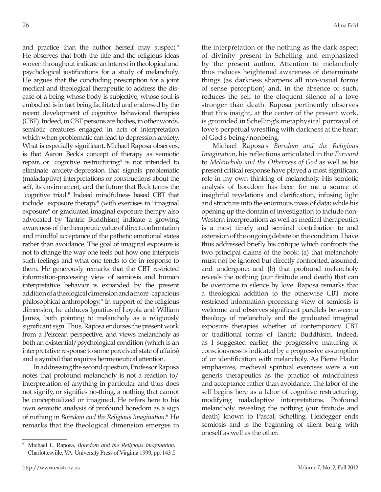and practice than the author herself may suspect." He observes that both the title and the religious ideas woven throughout indicate an interest in theological and psychological justifications for a study of melancholy. He argues that the concluding prescription for a joint medical and theological therapeutic to address the disease of a being whose body is subjective, whose soul is embodied is in fact being facilitated and endorsed by the recent development of cognitive behavioral therapies (CBT). Indeed, in CBT persons are bodies, in other words, semiotic creatures engaged in acts of interpretation which when problematic can lead to depression-anxiety. What is especially significant, Michael Raposa observes, is that Aaron Beck's concept of therapy as semiotic repair, or "cognitive restructuring" is not intended to eliminate anxiety-depression that signals problematic (maladaptive) interpretations or constructions about the self, its environment, and the future that Beck terms the "cognitive triad." Indeed mindfulness based CBT that include "exposure therapy" (with exercises in "imaginal exposure" or graduated imaginal exposure therapy also advocated by Tantric Buddhism) indicate a growing awareness of the therapeutic value of direct confrontation and mindful acceptance of the pathetic emotional states rather than avoidance. The goal of imaginal exposure is not to change the way one feels but how one interprets such feelings and what one tends to do in response to them. He generously remarks that the CBT restricted information-processing view of semiosis and human interpretative behavior is expanded by the present addition of a theological dimension and a more "capacious philosophical anthropology." In support of the religious dimension, he adduces Ignatius of Loyola and William James, both pointing to melancholy as a religiously significant sign. Thus, Raposa endorses the present work from a Peircean perspective, and views melancholy as both an existential/psychological condition (which is an interpretative response to some perceived state of affairs) and a symbol that requires hermeneutical attention.

In addressing the second question, Professor Raposa notes that profound melancholy is not a reaction to/ interpretation of anything in particular and thus does not signify, or signifies no-thing, a nothing that cannot be conceptualized or imagined. He refers here to his own semiotic analysis of profound boredom as a sign of nothing in *Boredom and the Religious Imagination*.<sup>6</sup> He remarks that the theological dimension emerges in

the interpretation of the nothing as the dark aspect of divinity present in Schelling and emphasized by the present author. Attention to melancholy thus induces heightened awareness of determinate things (as darkness sharpens all non-visual forms of sense perception) and, in the absence of such, reduces the self to the eloquent silence of a love stronger than death. Raposa pertinently observes that this insight, at the center of the present work, is grounded in Schelling's metaphysical portrayal of love's perpetual wrestling with darkness at the heart of God's being/nonbeing.

Michael Raposa's *Boredom and the Religious Imagination*, his reflections articulated in the *Forward* to *Melancholy and the Otherness of God* as well as his present critical response have played a most significant role in my own thinking of melancholy. His semiotic analysis of boredom has been for me a source of insightful revelations and clarification, infusing light and structure into the enormous mass of data; while his opening up the domain of investigation to include non-Western interpretations as well as medical therapeutics is a most timely and seminal contribution to and extension of the ongoing debate on the condition. I have thus addressed briefly his critique which confronts the two principal claims of the book: (a) that melancholy must not be ignored but directly confronted, assumed, and undergone; and (b) that profound melancholy reveals the nothing (our finitude and death) that can be overcome in silence by love. Raposa remarks that a theological addition to the otherwise CBT more restricted information processing view of semiosis is welcome and observes significant parallels between a theology of melancholy and the graduated imaginal exposure therapies whether of contemporary CBT or traditional forms of Tantric Buddhism. Indeed, as I suggested earlier, the progressive maturing of consciousness is indicated by a progressive assumption of or identification with melancholy. As Pierre Hadot emphasizes, medieval spiritual exercises were a sui generis therapeutics as the practice of mindfulness and acceptance rather than avoidance. The labor of the self begins here as a labor of cognitive restructuring, modifying maladaptive interpretations. Profound melancholy revealing the nothing (our finitude and death) known to Pascal, Schelling, Heidegger ends semiosis and is the beginning of silent being with oneself as well as the other.

<sup>6</sup> Michael L. Raposa, *Boredom and the Religious Imagination*, Charlottesville, VA: University Press of Virginia 1999, pp. 143 f.